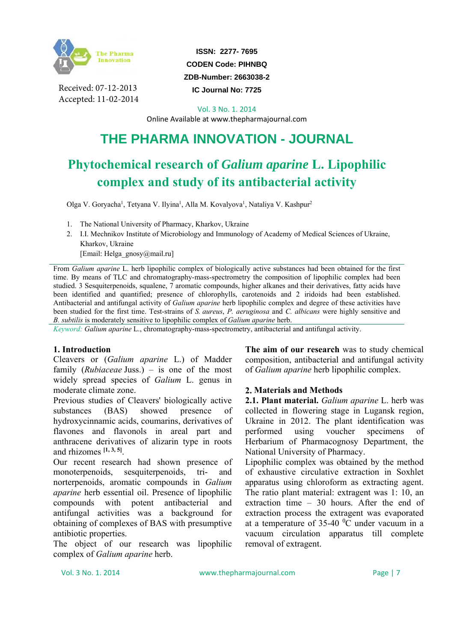

Received: 07-12-2013 Accepted: 11-02-2014

**ISSN: 2277- 7695 CODEN Code: PIHNBQ ZDB-Number: 2663038-2** 

**IC Journal No: 7725** 

Vol. 3 No. 1. 2014

Online Available at www.thepharmajournal.com

# **THE PHARMA INNOVATION - JOURNAL**

# **Phytochemical research of** *Galium aparine* **L. Lipophilic complex and study of its antibacterial activity**

Olga V. Goryacha<sup>1</sup>, Tetyana V. Ilyina<sup>1</sup>, Alla M. Kovalyova<sup>1</sup>, Nataliya V. Kashpur<sup>2</sup>

1. The National University of Pharmacy, Kharkov, Ukraine

2. I.I. Mechnikov Institute of Microbiology and Immunology of Academy of Medical Sciences of Ukraine, Kharkov, Ukraine

[Email: Helga\_gnosy@mail.ru]

From *Galium aparine* L. herb lipophilic complex of biologically active substances had been obtained for the first time. By means of TLC and chromatography-mass-spectrometry the composition of lipophilic complex had been studied. 3 Sesquiterpenoids, squalene, 7 aromatic compounds, higher alkanes and their derivatives, fatty acids have been identified and quantified; presence of chlorophylls, carotenoids and 2 iridoids had been established. Antibacterial and antifungal activity of *Galium aparine* herb lipophilic complex and degree of these activities have been studied for the first time. Test-strains of *S. aureus*, *P. aeruginosa* and *C. albicans* were highly sensitive and *B. subtilis* is moderately sensitive to lipophilic complex of *Galium aparine* herb.

*Keyword: Galium aparine* L., chromatography-mass-spectrometry, antibacterial and antifungal activity.

# **1. Introduction**

Cleavers or (*Galium aparine* L.) of Madder family (*Rubiaceae* Juss.) – is one of the most widely spread species of *Galium* L. genus in moderate climate zone.

Previous studies of Cleavers' biologically active substances (BAS) showed presence of hydroxycinnamic acids, coumarins, derivatives of flavones and flavonols in areal part and anthracene derivatives of alizarin type in roots and rhizomes **[1, 3, 5]**.

Our recent research had shown presence of monoterpenoids, sesquiterpenoids, tri- and norterpenoids, aromatic compounds in *Galium aparine* herb essential oil. Presence of lipophilic compounds with potent antibacterial and antifungal activities was a background for obtaining of complexes of BAS with presumptive antibiotic properties.

The object of our research was lipophilic complex of *Galium aparine* herb.

**The aim of our research** was to study chemical composition, antibacterial and antifungal activity of *Galium aparine* herb lipophilic complex.

# **2. Materials and Methods**

**2.1. Plant material.** *Galium aparine* L. herb was collected in flowering stage in Lugansk region, Ukraine in 2012. The plant identification was performed using voucher specimens of Herbarium of Pharmacognosy Department, the National University of Pharmacy.

Lipophilic complex was obtained by the method of exhaustive circulative extraction in Soxhlet apparatus using chloroform as extracting agent. The ratio plant material: extragent was 1: 10, an extraction time – 30 hours. After the end of extraction process the extragent was evaporated at a temperature of  $35-40$  °C under vacuum in a vacuum circulation apparatus till complete removal of extragent.

Vol. 3 No. 1. 2014 www.thepharmajournal.com Page | 7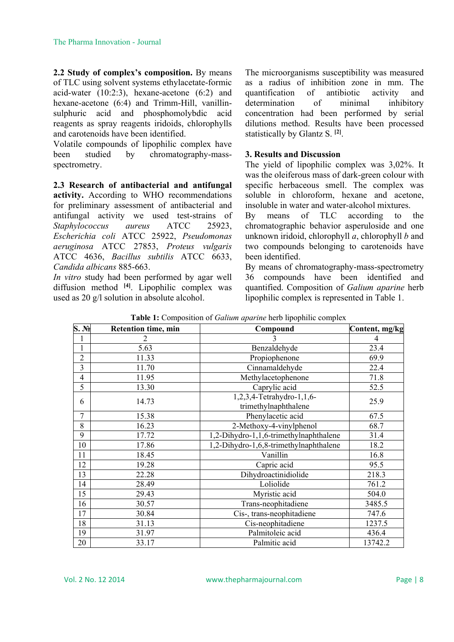**2.2 Study of complex's composition.** By means of TLC using solvent systems ethylacetate-formic acid-water (10:2:3), hexane-acetone (6:2) and hexane-acetone (6:4) and Trimm-Hill, vanillinsulphuric acid and phosphomolybdic acid reagents as spray reagents iridoids, chlorophylls and carotenoids have been identified.

Volatile compounds of lipophilic complex have been studied by chromatography-massspectrometry.

# **2.3 Research of antibacterial and antifungal**

**activity.** According to WHO recommendations for preliminary assessment of antibacterial and antifungal activity we used test-strains of *Staphylococcus aureus* ATCC 25923, *Escherichia coli* ATCC 25922, *Pseudomonas aeruginosa* ATCC 27853, *Proteus vulgaris* ATCC 4636, *Bacillus subtilis* ATCC 6633, *Candida albicans* 885-663.

*In vitro* study had been performed by agar well diffusion method **[4]**. Lipophilic complex was used as 20 g/l solution in absolute alcohol.

The microorganisms susceptibility was measured as a radius of inhibition zone in mm. The quantification of antibiotic activity and determination of minimal inhibitory concentration had been performed by serial dilutions method. Results have been processed statistically by Glantz S. **[2]**.

## **3. Results and Discussion**

The yield of lipophilic complex was 3,02%. It was the oleiferous mass of dark-green colour with specific herbaceous smell. The complex was soluble in chloroform, hexane and acetone, insoluble in water and water-alcohol mixtures.

By means of TLC according to the chromatographic behavior asperuloside and one unknown iridoid, chlorophyll *a*, chlorophyll *b* and two compounds belonging to carotenoids have been identified.

By means of chromatography-mass-spectrometry 36 compounds have been identified and quantified. Composition of *Galium aparine* herb lipophilic complex is represented in Table 1.

| S. N <sub>2</sub> | <b>Retention time, min</b><br>Compound |                                                   | Content, mg/kg |  |
|-------------------|----------------------------------------|---------------------------------------------------|----------------|--|
| $\mathbf{1}$      | 2                                      | 3                                                 | 4              |  |
| $\mathbf{1}$      | 5.63                                   | Benzaldehyde                                      | 23.4           |  |
| $\overline{2}$    | 11.33                                  | Propiophenone                                     |                |  |
| 3                 | 11.70                                  | Cinnamaldehyde                                    |                |  |
| $\overline{4}$    | 11.95                                  | Methylacetophenone                                | 71.8           |  |
| 5                 | 13.30                                  | Caprylic acid                                     | 52.5           |  |
| 6                 | 14.73                                  | 1,2,3,4-Tetrahydro-1,1,6-<br>trimethylnaphthalene | 25.9           |  |
| 7                 | 15.38                                  | Phenylacetic acid                                 | 67.5           |  |
| 8                 | 16.23                                  | 2-Methoxy-4-vinylphenol                           | 68.7           |  |
| 9                 | 17.72                                  | 1,2-Dihydro-1,1,6-trimethylnaphthalene            | 31.4           |  |
| 10                | 17.86                                  | 1,2-Dihydro-1,6,8-trimethylnaphthalene            | 18.2           |  |
| 11                | 18.45                                  | Vanillin                                          | 16.8           |  |
| 12                | 19.28                                  | Capric acid                                       | 95.5           |  |
| 13                | 22.28                                  | Dihydroactinidiolide                              | 218.3          |  |
| 14                | 28.49                                  | Loliolide                                         | 761.2          |  |
| 15                | 29.43                                  | Myristic acid                                     | 504.0          |  |
| 16                | 30.57                                  | Trans-neophitadiene                               | 3485.5         |  |
| 17                | 30.84                                  | Cis-, trans-neophitadiene                         | 747.6          |  |
| 18                | 31.13                                  | Cis-neophitadiene                                 | 1237.5         |  |
| 19                | 31.97                                  | Palmitoleic acid                                  | 436.4          |  |
| 20                | 33.17                                  | Palmitic acid                                     | 13742.2        |  |

**Table 1:** Composition of *Galium aparine* herb lipophilic complex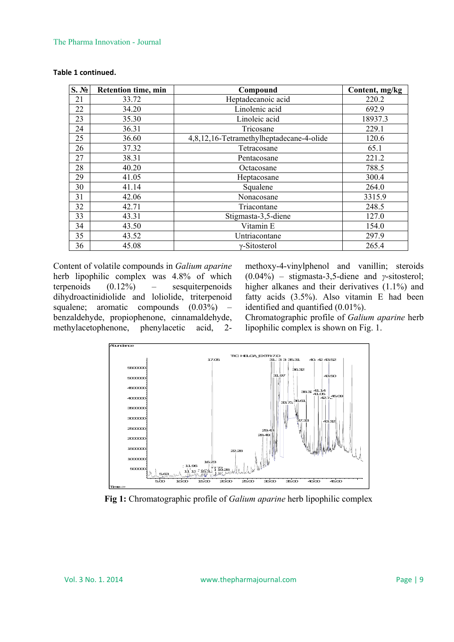#### The Pharma Innovation - Journal

| S. N <sub>2</sub> | <b>Retention time, min</b> | Compound                                 | Content, mg/kg |
|-------------------|----------------------------|------------------------------------------|----------------|
| 21                | 33.72                      | Heptadecanoic acid                       | 220.2          |
| 22                | 34.20                      | Linolenic acid                           | 692.9          |
| 23                | 35.30                      | Linoleic acid                            | 18937.3        |
| 24                | 36.31                      | Tricosane                                | 229.1          |
| 25                | 36.60                      | 4,8,12,16-Tetramethylheptadecane-4-olide | 120.6          |
| 26                | 37.32                      | Tetracosane                              | 65.1           |
| 27                | 38.31                      | Pentacosane                              | 221.2          |
| 28                | 40.20                      | Octacosane                               | 788.5          |
| 29                | 41.05                      | Heptacosane                              | 300.4          |
| 30                | 41.14                      | Squalene                                 | 264.0          |
| 31                | 42.06                      | Nonacosane                               | 3315.9         |
| 32                | 42.71                      | Triacontane                              | 248.5          |
| 33                | 43.31                      | Stigmasta-3,5-diene                      | 127.0          |
| 34                | 43.50                      | Vitamin E                                | 154.0          |
| 35                | 43.52                      | Untriacontane                            | 297.9          |
| 36                | 45.08                      | $\gamma$ -Sitosterol                     | 265.4          |

### **Table 1 continued.**

Content of volatile compounds in *Galium aparine*  herb lipophilic complex was 4.8% of which terpenoids (0.12%) – sesquiterpenoids dihydroactinidiolide and loliolide, triterpenoid squalene; aromatic compounds  $(0.03\%)$ benzaldehyde, propiophenone, cinnamaldehyde, methylacetophenone, phenylacetic acid, 2-

methoxy-4-vinylphenol and vanillin; steroids (0.04%) – stigmasta-3,5-diene and *γ*-sitosterol; higher alkanes and their derivatives (1.1%) and fatty acids (3.5%). Also vitamin E had been identified and quantified (0.01%).

Chromatographic profile of *Galium aparine* herb lipophilic complex is shown on Fig. 1.



**Fig 1:** Chromatographic profile of *Galium aparine* herb lipophilic complex